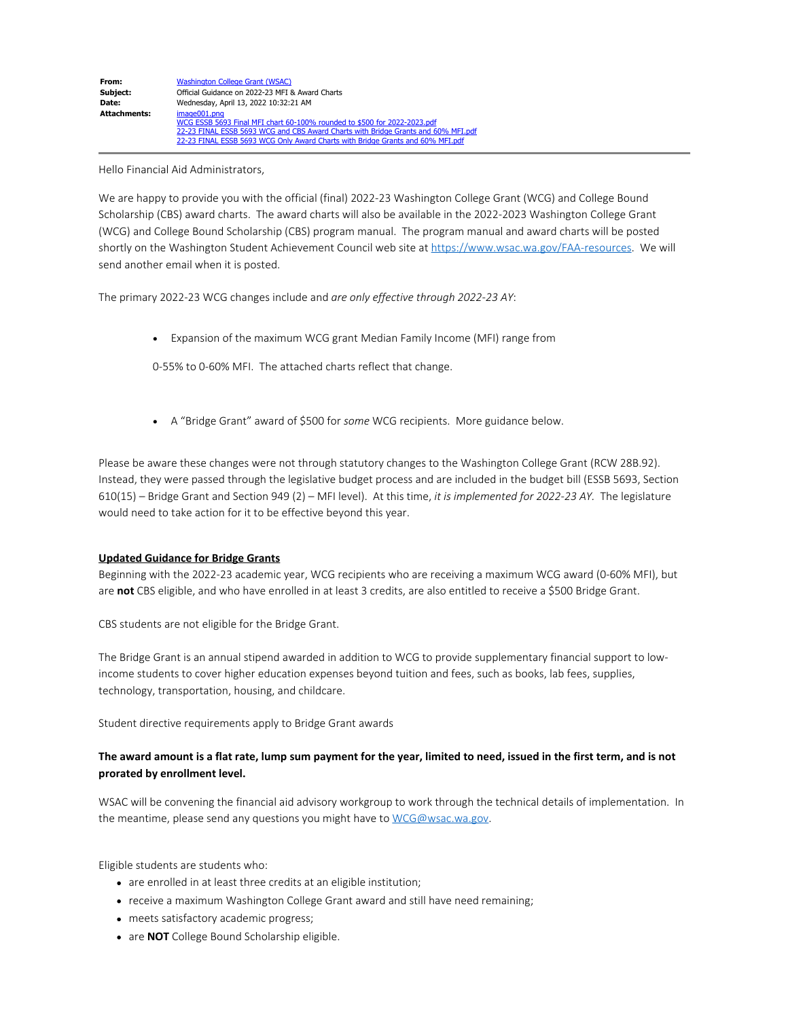#### Hello Financial Aid Administrators,

We are happy to provide you with the official (final) 2022-23 Washington College Grant (WCG) and College Bound Scholarship (CBS) award charts. The award charts will also be available in the 2022-2023 Washington College Grant (WCG) and College Bound Scholarship (CBS) program manual. The program manual and award charts will be posted shortly on the Washington Student Achievement Council web site at [https://www.wsac.wa.gov/FAA-resources.](https://gcc02.safelinks.protection.outlook.com/?url=https%3A%2F%2Fwww.wsac.wa.gov%2FFAA-resources&data=04%7C01%7CGabrieleW%40wsac.wa.gov%7Cd3216cf4c63d409ceffc08da1d738456%7C11d0e217264e400a8ba057dcc127d72d%7C0%7C0%7C637854679402664046%7CUnknown%7CTWFpbGZsb3d8eyJWIjoiMC4wLjAwMDAiLCJQIjoiV2luMzIiLCJBTiI6Ik1haWwiLCJXVCI6Mn0%3D%7C3000&sdata=QoyxEMhiIBAbrG%2BPjATRxH3Cj%2FzG2fWtfTmNxDPA%2FZ8%3D&reserved=0) We will send another email when it is posted.

The primary 2022-23 WCG changes include and *are only effective through 2022-23 AY*:

· Expansion of the maximum WCG grant Median Family Income (MFI) range from

0-55% to 0-60% MFI. The attached charts reflect that change.

· A "Bridge Grant" award of \$500 for *some* WCG recipients. More guidance below.

Please be aware these changes were not through statutory changes to the Washington College Grant (RCW 28B.92). Instead, they were passed through the legislative budget process and are included in the budget bill (ESSB 5693, Section 610(15) – Bridge Grant and Section 949 (2) – MFI level). At this time, *it is implemented for 2022-23 AY.* The legislature would need to take action for it to be effective beyond this year.

### **Updated Guidance for Bridge Grants**

Beginning with the 2022-23 academic year, WCG recipients who are receiving a maximum WCG award (0-60% MFI), but are **not** CBS eligible, and who have enrolled in at least 3 credits, are also entitled to receive a \$500 Bridge Grant.

CBS students are not eligible for the Bridge Grant.

The Bridge Grant is an annual stipend awarded in addition to WCG to provide supplementary financial support to lowincome students to cover higher education expenses beyond tuition and fees, such as books, lab fees, supplies, technology, transportation, housing, and childcare.

Student directive requirements apply to Bridge Grant awards

# **The award amount is a flat rate, lump sum payment for the year, limited to need, issued in the first term, and is not prorated by enrollment level.**

WSAC will be convening the financial aid advisory workgroup to work through the technical details of implementation. In the meantime, please send any questions you might have to [WCG@wsac.wa.gov.](mailto:WCG@wsac.wa.gov)

Eligible students are students who:

- are enrolled in at least three credits at an eligible institution;
- receive a maximum Washington College Grant award and still have need remaining;
- meets satisfactory academic progress;
- are **NOT** College Bound Scholarship eligible.